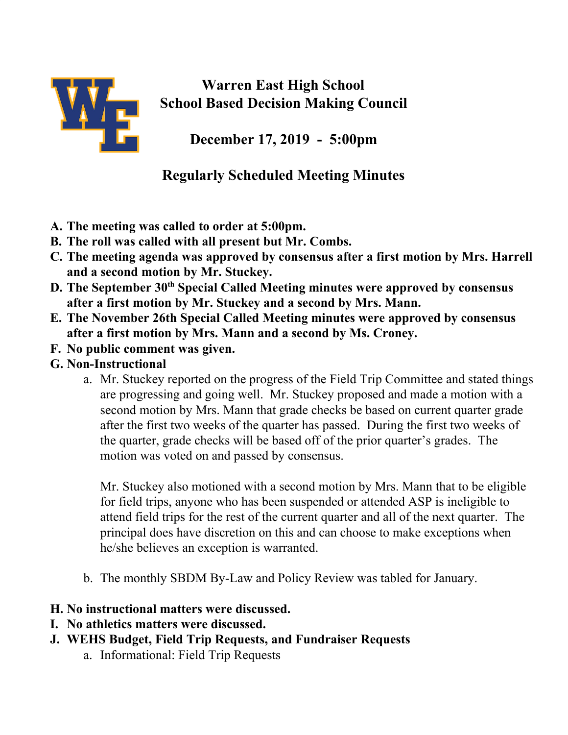

## **Warren East High School School Based Decision Making Council**

**December 17, 2019 - 5:00pm**

## **Regularly Scheduled Meeting Minutes**

- **A. The meeting was called to order at 5:00pm.**
- **B. The roll was called with all present but Mr. Combs.**
- **C. The meeting agenda was approved by consensus after a first motion by Mrs. Harrell and a second motion by Mr. Stuckey.**
- **D. The September 30 th Special Called Meeting minutes were approved by consensus after a first motion by Mr. Stuckey and a second by Mrs. Mann.**
- **E. The November 26th Special Called Meeting minutes were approved by consensus after a first motion by Mrs. Mann and a second by Ms. Croney.**
- **F. No public comment was given.**
- **G. Non-Instructional**
	- a. Mr. Stuckey reported on the progress of the Field Trip Committee and stated things are progressing and going well. Mr. Stuckey proposed and made a motion with a second motion by Mrs. Mann that grade checks be based on current quarter grade after the first two weeks of the quarter has passed. During the first two weeks of the quarter, grade checks will be based off of the prior quarter's grades. The motion was voted on and passed by consensus.

Mr. Stuckey also motioned with a second motion by Mrs. Mann that to be eligible for field trips, anyone who has been suspended or attended ASP is ineligible to attend field trips for the rest of the current quarter and all of the next quarter. The principal does have discretion on this and can choose to make exceptions when he/she believes an exception is warranted.

- b. The monthly SBDM By-Law and Policy Review was tabled for January.
- **H. No instructional matters were discussed.**
- **I. No athletics matters were discussed.**
- **J. WEHS Budget, Field Trip Requests, and Fundraiser Requests**
	- a. Informational: Field Trip Requests